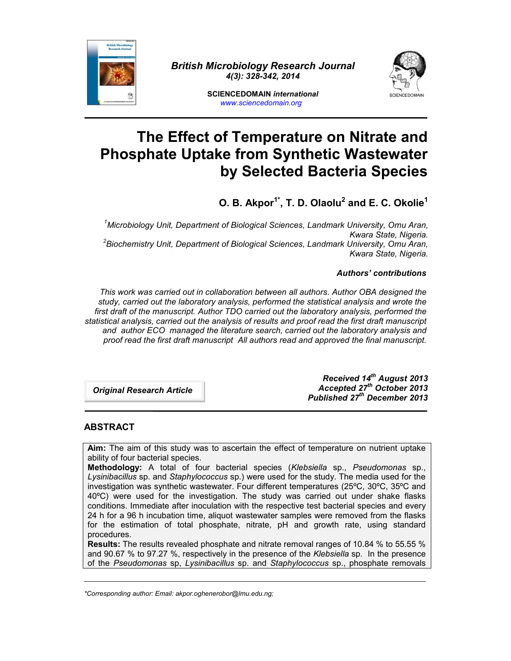

*British Microbiology Research Journal 4(3): 328-342, 2014*



**SCIENCEDOMAIN** *international www.sciencedomain.org*

# **The Effect of Temperature on Nitrate and Phosphate Uptake from Synthetic Wastewater by Selected Bacteria Species**

**O. B. Akpor1\*, T. D. Olaolu<sup>2</sup> and E. C. Okolie<sup>1</sup>**

*<sup>1</sup>Microbiology Unit, Department of Biological Sciences, Landmark University, Omu Aran, Kwara State, Nigeria. <sup>2</sup>Biochemistry Unit, Department of Biological Sciences, Landmark University, Omu Aran, Kwara State, Nigeria.*

*Authors' contributions*

*This work was carried out in collaboration between all authors. Author OBA designed the study, carried out the laboratory analysis, performed the statistical analysis and wrote the first draft of the manuscript. Author TDO carried out the laboratory analysis, performed the statistical analysis, carried out the analysis of results and proof read the first draft manuscript and author ECO managed the literature search, carried out the laboratory analysis and proof read the first draft manuscript All authors read and approved the final manuscript.*

*Original Research Article*

*Received 14th August 2013 Accepted 27th October 2013 Published 27 th December 2013*

# **ABSTRACT**

**Aim:** The aim of this study was to ascertain the effect of temperature on nutrient uptake ability of four bacterial species.

**Methodology:** A total of four bacterial species (*Klebsiella* sp., *Pseudomonas* sp., *Lysinibacillus* sp. and *Staphylococcus* sp.) were used for the study. The media used for the investigation was synthetic wastewater. Four different temperatures (25ºC, 30ºC, 35ºC and 40ºC) were used for the investigation. The study was carried out under shake flasks conditions. Immediate after inoculation with the respective test bacterial species and every 24 h for a 96 h incubation time, aliquot wastewater samples were removed from the flasks for the estimation of total phosphate, nitrate, pH and growth rate, using standard procedures.

**Results:** The results revealed phosphate and nitrate removal ranges of 10.84 % to 55.55 % and 90.67 % to 97.27 %, respectively in the presence of the *Klebsiella* sp. In the presence of the *Pseudomonas* sp, *Lysinibacillus* sp. and *Staphylococcus* sp., phosphate removals

\_\_\_\_\_\_\_\_\_\_\_\_\_\_\_\_\_\_\_\_\_\_\_\_\_\_\_\_\_\_\_\_\_\_\_\_\_\_\_\_\_\_\_\_\_\_\_\_\_\_\_\_\_\_\_\_\_\_\_\_\_\_\_\_\_\_\_\_\_\_\_\_\_\_\_\_\_\_\_\_\_\_\_\_\_\_\_\_\_\_\_\_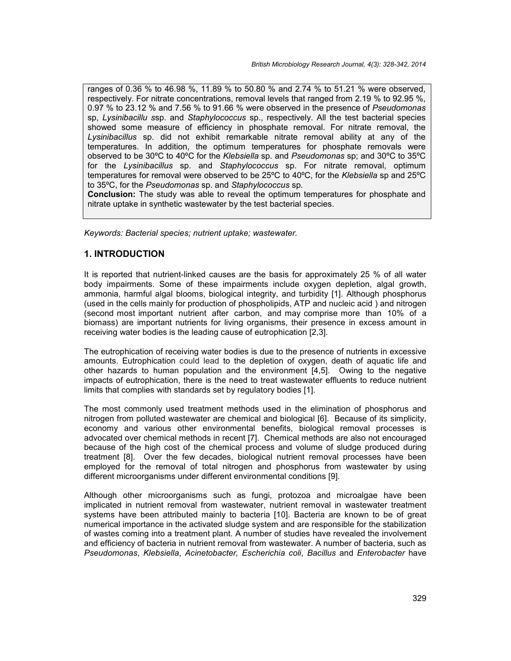ranges of 0.36 % to 46.98 %, 11.89 % to 50.80 % and 2.74 % to 51.21 % were observed, respectively. For nitrate concentrations, removal levels that ranged from 2.19 % to 92.95 %, 0.97 % to 23.12 % and 7.56 % to 91.66 % were observed in the presence of *Pseudomonas* sp, *Lysinibacillu s*sp. and *Staphylococcus* sp., respectively. All the test bacterial species showed some measure of efficiency in phosphate removal. For nitrate removal, the *Lysinibacillus* sp. did not exhibit remarkable nitrate removal ability at any of the temperatures. In addition, the optimum temperatures for phosphate removals were observed to be 30ºC to 40ºC for the *Klebsiella* sp. and *Pseudomonas* sp; and 30ºC to 35ºC for the *Lysinibacillus* sp. and *Staphylococcus* sp. For nitrate removal, optimum temperatures for removal were observed to be 25ºC to 40ºC, for the *Klebsiella* sp and 25ºC to 35ºC, for the *Pseudomonas* sp. and *Staphylococcus* sp.

**Conclusion:** The study was able to reveal the optimum temperatures for phosphate and nitrate uptake in synthetic wastewater by the test bacterial species.

*Keywords: Bacterial species; nutrient uptake; wastewater.*

# **1. INTRODUCTION**

It is reported that nutrient-linked causes are the basis for approximately 25 % of all water body impairments. Some of these impairments include oxygen depletion, algal growth, ammonia, harmful algal blooms, biological integrity, and turbidity [1]. Although phosphorus (used in the cells mainly for production of phospholipids, ATP and nucleic acid ) and nitrogen (second most important nutrient after carbon, and may comprise more than 10% of a biomass) are important nutrients for living organisms, their presence in excess amount in receiving water bodies is the leading cause of eutrophication [2,3].

The eutrophication of receiving water bodies is due to the presence of nutrients in excessive amounts. Eutrophication could lead to the depletion of oxygen, death of aquatic life and other hazards to human population and the environment [4,5]. Owing to the negative impacts of eutrophication, there is the need to treat wastewater effluents to reduce nutrient limits that complies with standards set by regulatory bodies [1].

The most commonly used treatment methods used in the elimination of phosphorus and nitrogen from polluted wastewater are chemical and biological [6]. Because of its simplicity, economy and various other environmental benefits, biological removal processes is advocated over chemical methods in recent [7]. Chemical methods are also not encouraged because of the high cost of the chemical process and volume of sludge produced during treatment [8]. Over the few decades, biological nutrient removal processes have been employed for the removal of total nitrogen and phosphorus from wastewater by using different microorganisms under different environmental conditions [9].

Although other microorganisms such as fungi, protozoa and microalgae have been implicated in nutrient removal from wastewater, nutrient removal in wastewater treatment systems have been attributed mainly to bacteria [10]. Bacteria are known to be of great numerical importance in the activated sludge system and are responsible for the stabilization of wastes coming into a treatment plant. A number of studies have revealed the involvement and efficiency of bacteria in nutrient removal from wastewater. A number of bacteria, such as *Pseudomonas*, *Klebsiella*, *Acinetobacter, Escherichia coli*, *Bacillus* and *Enterobacter* have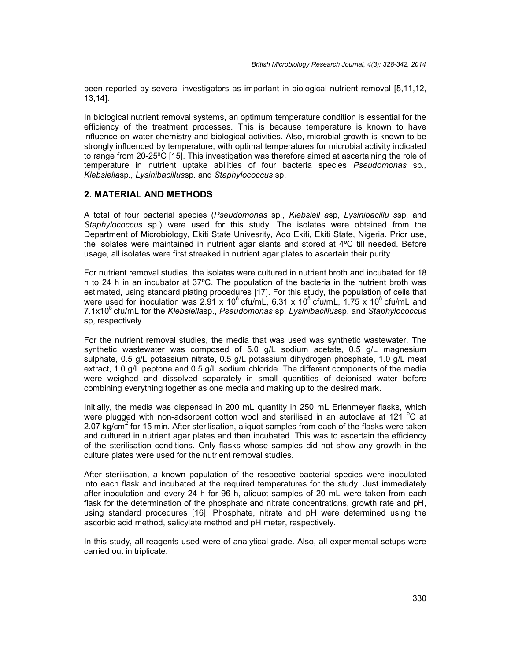been reported by several investigators as important in biological nutrient removal [5,11,12, 13,14].

In biological nutrient removal systems, an optimum temperature condition is essential for the efficiency of the treatment processes. This is because temperature is known to have influence on water chemistry and biological activities. Also, microbial growth is known to be strongly influenced by temperature, with optimal temperatures for microbial activity indicated to range from 20-25ºC [15]. This investigation was therefore aimed at ascertaining the role of temperature in nutrient uptake abilities of four bacteria species *Pseudomonas* sp*., Klebsiella*sp*., Lysinibacillus*sp*.* and *Staphylococcus* sp.

## **2. MATERIAL AND METHODS**

A total of four bacterial species (*Pseudomonas* sp*., Klebsiell a*sp*, Lysinibacillu s*sp*.* and *Staphylococcus* sp.) were used for this study. The isolates were obtained from the Department of Microbiology, Ekiti State Univesrity, Ado Ekiti, Ekiti State, Nigeria. Prior use, the isolates were maintained in nutrient agar slants and stored at 4ºC till needed. Before usage, all isolates were first streaked in nutrient agar plates to ascertain their purity.

For nutrient removal studies, the isolates were cultured in nutrient broth and incubated for 18 h to 24 h in an incubator at 37ºC. The population of the bacteria in the nutrient broth was estimated, using standard plating procedures [17]. For this study, the population of cells that were used for inoculation was 2.91 x 10<sup>8</sup> cfu/mL, 6.31 x 10<sup>8</sup> cfu/mL, 1.75 x 10<sup>8</sup> cfu/mL and 7.1x10<sup>8</sup> cfu/mL for the *Klebsiella*sp., *Pseudomonas* sp,*Lysinibacillus*sp. and *Staphylococcus* sp, respectively.

For the nutrient removal studies, the media that was used was synthetic wastewater. The synthetic wastewater was composed of 5.0 g/L sodium acetate, 0.5 g/L magnesium sulphate, 0.5 g/L potassium nitrate, 0.5 g/L potassium dihydrogen phosphate, 1.0 g/L meat extract, 1.0 g/L peptone and 0.5 g/L sodium chloride. The different components of the media were weighed and dissolved separately in small quantities of deionised water before combining everything together as one media and making up to the desired mark.

Initially, the media was dispensed in 200 mL quantity in 250 mL Erlenmeyer flasks, which were plugged with non-adsorbent cotton wool and sterilised in an autoclave at 121  $^{\circ}$ C at 2.07 kg/cm<sup>2</sup> for 15 min. After sterilisation, aliquot samples from each of the flasks were taken and cultured in nutrient agar plates and then incubated. This was to ascertain the efficiency of the sterilisation conditions. Only flasks whose samples did not show any growth in the culture plates were used for the nutrient removal studies.

After sterilisation, a known population of the respective bacterial species were inoculated into each flask and incubated at the required temperatures for the study. Just immediately after inoculation and every 24 h for 96 h, aliquot samples of 20 mL were taken from each flask for the determination of the phosphate and nitrate concentrations, growth rate and pH, using standard procedures [16]. Phosphate, nitrate and pH were determined using the ascorbic acid method, salicylate method and pH meter, respectively.

In this study, all reagents used were of analytical grade. Also, all experimental setups were carried out in triplicate.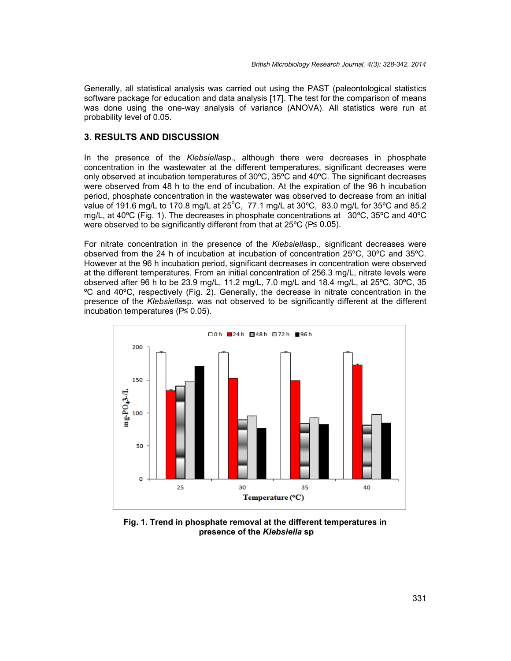Generally, all statistical analysis was carried out using the PAST (paleontological statistics software package for education and data analysis [17]. The test for the comparison of means was done using the one-way analysis of variance (ANOVA). All statistics were run at probability level of 0.05.

## **3. RESULTS AND DISCUSSION**

In the presence of the *Klebsiella*sp., although there were decreases in phosphate concentration in the wastewater at the different temperatures, significant decreases were only observed at incubation temperatures of 30ºC, 35ºC and 40ºC. The significant decreases were observed from 48 h to the end of incubation. At the expiration of the 96 h incubation period, phosphate concentration in the wastewater was observed to decrease from an initial value of 191.6 mg/L to 170.8 mg/L at  $25^{\circ}$ C, 77.1 mg/L at 30 $^{\circ}$ C, 83.0 mg/L for 35 $^{\circ}$ C and 85.2 mg/L, at 40ºC (Fig. 1). The decreases in phosphate concentrations at 30ºC, 35ºC and 40ºC were observed to be significantly different from that at 25ºC (P≤ 0.05).

For nitrate concentration in the presence of the *Klebsiella*sp., significant decreases were observed from the 24 h of incubation at incubation of concentration 25ºC, 30ºC and 35ºC. However at the 96 h incubation period, significant decreases in concentration were observed at the different temperatures. From an initial concentration of 256.3 mg/L, nitrate levels were observed after 96 h to be 23.9 mg/L, 11.2 mg/L, 7.0 mg/L and 18.4 mg/L, at 25ºC, 30ºC, 35 ºC and 40ºC, respectively (Fig. 2). Generally, the decrease in nitrate concentration in the presence of the *Klebsiella*sp. was not observed to be significantly different at the different incubation temperatures (P≤ 0.05).



**Fig. 1. Trend in phosphate removal at the different temperatures in presence of the** *Klebsiella* **sp**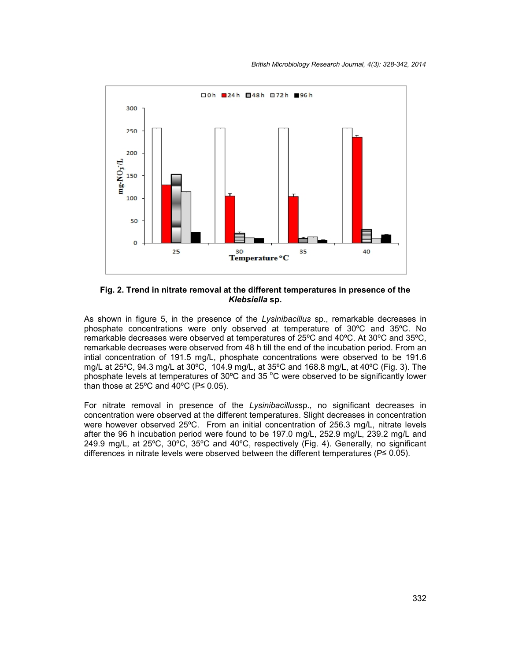

**Fig. 2. Trend in nitrate removal at the different temperatures in presence of the** *Klebsiella* **sp.**

As shown in figure 5, in the presence of the *Lysinibacillus* sp., remarkable decreases in phosphate concentrations were only observed at temperature of 30ºC and 35ºC. No remarkable decreases were observed at temperatures of 25ºC and 40ºC. At 30ºC and 35ºC, remarkable decreases were observed from 48 h till the end of the incubation period. From an intial concentration of 191.5 mg/L, phosphate concentrations were observed to be 191.6 mg/L at 25ºC, 94.3 mg/L at 30ºC, 104.9 mg/L, at 35ºC and 168.8 mg/L, at 40ºC (Fig. 3). The phosphate levels at temperatures of  $30^{\circ}$ C and  $35^{\circ}$ C were observed to be significantly lower than those at 25 $\degree$ C and 40 $\degree$ C (P  $\leq$  0.05).

For nitrate removal in presence of the *Lysinibacillus*sp., no significant decreases in concentration were observed at the different temperatures. Slight decreases in concentration were however observed 25ºC. From an initial concentration of 256.3 mg/L, nitrate levels after the 96 h incubation period were found to be 197.0 mg/L, 252.9 mg/L, 239.2 mg/L and 249.9 mg/L, at 25ºC, 30ºC, 35ºC and 40ºC, respectively (Fig. 4). Generally, no significant differences in nitrate levels were observed between the different temperatures (P≤ 0.05).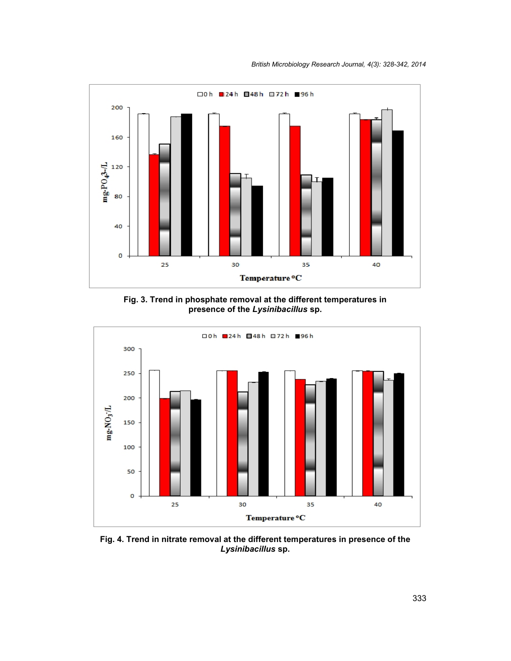

**Fig. 3. Trend in phosphate removal at the different temperatures in presence of the** *Lysinibacillus* **sp.**



**Fig. 4. Trend in nitrate removal at the different temperatures in presence of the** *Lysinibacillus* **sp.**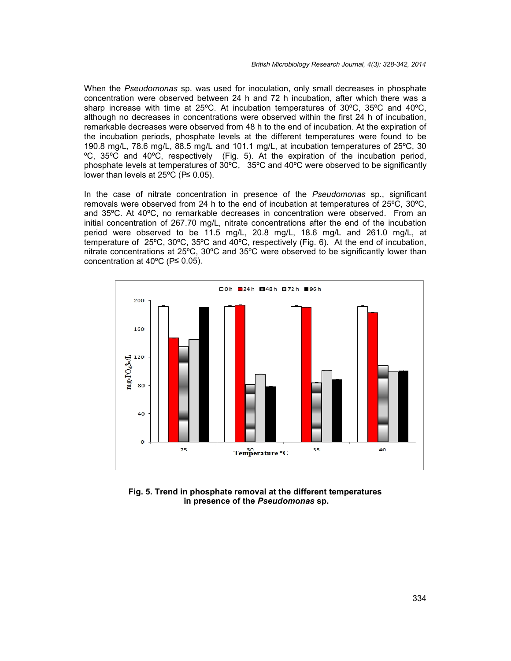When the *Pseudomonas* sp. was used for inoculation, only small decreases in phosphate concentration were observed between 24 h and 72 h incubation, after which there was a sharp increase with time at 25ºC. At incubation temperatures of 30ºC, 35ºC and 40ºC, although no decreases in concentrations were observed within the first 24 h of incubation, remarkable decreases were observed from 48 h to the end of incubation. At the expiration of the incubation periods, phosphate levels at the different temperatures were found to be 190.8 mg/L, 78.6 mg/L, 88.5 mg/L and 101.1 mg/L, at incubation temperatures of 25ºC, 30 ºC, 35ºC and 40ºC, respectively (Fig. 5). At the expiration of the incubation period, phosphate levels at temperatures of 30ºC, 35ºC and 40ºC were observed to be significantly lower than levels at 25ºC (P≤ 0.05).

In the case of nitrate concentration in presence of the *Pseudomonas* sp., significant removals were observed from 24 h to the end of incubation at temperatures of 25ºC, 30ºC, and 35ºC. At 40ºC, no remarkable decreases in concentration were observed. From an initial concentration of 267.70 mg/L, nitrate concentrations after the end of the incubation period were observed to be 11.5 mg/L, 20.8 mg/L, 18.6 mg/L and 261.0 mg/L, at temperature of 25ºC, 30ºC, 35ºC and 40ºC, respectively (Fig. 6). At the end of incubation, nitrate concentrations at 25ºC, 30ºC and 35ºC were observed to be significantly lower than concentration at 40ºC (P≤ 0.05).



**Fig. 5. Trend in phosphate removal at the different temperatures in presence of the** *Pseudomonas* **sp.**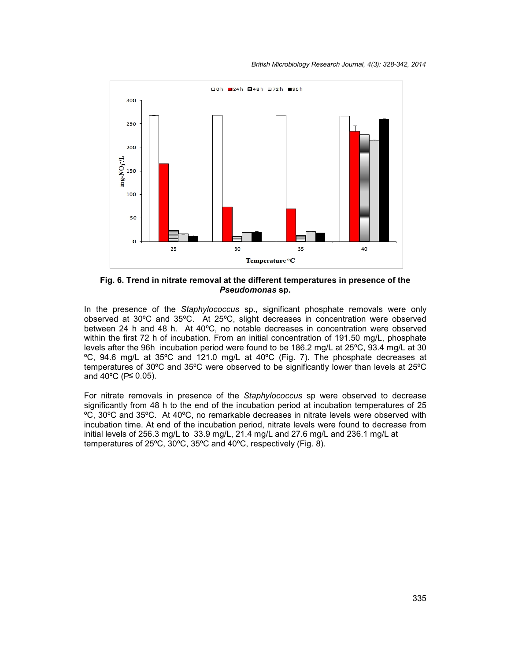

**Fig. 6. Trend in nitrate removal at the different temperatures in presence of the** *Pseudomonas* **sp.**

In the presence of the *Staphylococcus* sp., significant phosphate removals were only observed at 30ºC and 35ºC. At 25ºC, slight decreases in concentration were observed between 24 h and 48 h. At 40ºC, no notable decreases in concentration were observed within the first 72 h of incubation. From an initial concentration of 191.50 mg/L, phosphate levels after the 96h incubation period were found to be 186.2 mg/L at 25ºC, 93.4 mg/L at 30 ºC, 94.6 mg/L at 35ºC and 121.0 mg/L at 40ºC (Fig. 7). The phosphate decreases at temperatures of 30ºC and 35ºC were observed to be significantly lower than levels at 25ºC and 40ºC (P≤ 0.05).

For nitrate removals in presence of the *Staphylococcus* sp were observed to decrease significantly from 48 h to the end of the incubation period at incubation temperatures of 25 ºC, 30ºC and 35ºC. At 40ºC, no remarkable decreases in nitrate levels were observed with incubation time. At end of the incubation period, nitrate levels were found to decrease from initial levels of 256.3 mg/L to 33.9 mg/L, 21.4 mg/L and 27.6 mg/L and 236.1 mg/L at temperatures of 25ºC, 30ºC, 35ºC and 40ºC, respectively (Fig. 8).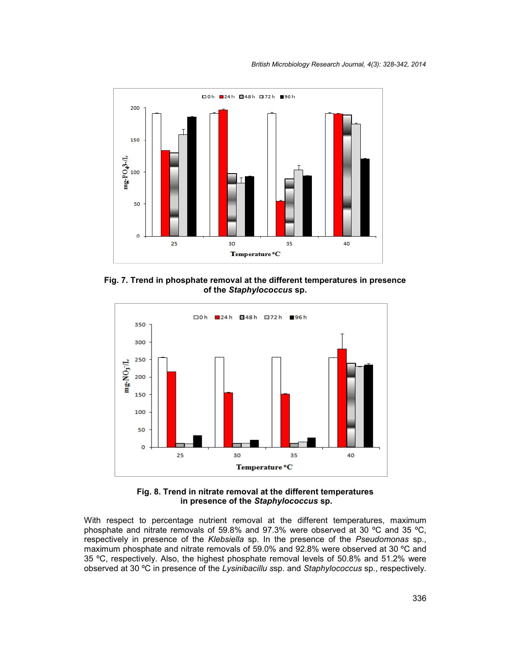

**Fig. 7. Trend in phosphate removal at the different temperatures in presence of the** *Staphylococcus* **sp.**



**Fig. 8. Trend in nitrate removal at the different temperatures in presence of the** *Staphylococcus* **sp.**

With respect to percentage nutrient removal at the different temperatures, maximum phosphate and nitrate removals of 59.8% and 97.3% were observed at 30 ºC and 35 ºC, respectively in presence of the *Klebsiella* sp. In the presence of the *Pseudomonas* sp., maximum phosphate and nitrate removals of 59.0% and 92.8% were observed at 30 ºC and 35 ºC, respectively. Also, the highest phosphate removal levels of 50.8% and 51.2% were observed at 30 ºC in presence of the *Lysinibacillu s*sp. and *Staphylococcus* sp., respectively.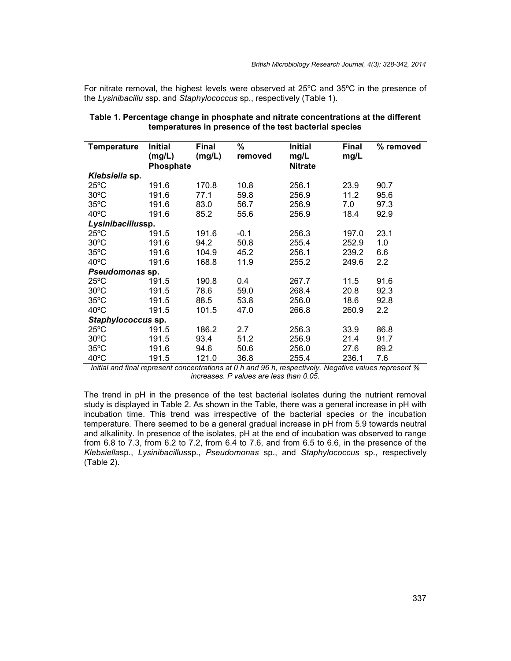For nitrate removal, the highest levels were observed at 25ºC and 35ºC in the presence of the *Lysinibacillu s*sp. and *Staphylococcus* sp., respectively (Table 1).

| <b>Temperature</b> | <b>Initial</b> | <b>Final</b> | %       | <b>Initial</b> | <b>Final</b> | % removed |
|--------------------|----------------|--------------|---------|----------------|--------------|-----------|
|                    | (mg/L)         | (mg/L)       | removed | mg/L           | mg/L         |           |
|                    | Phosphate      |              |         | <b>Nitrate</b> |              |           |
| Klebsiella sp.     |                |              |         |                |              |           |
| $25^{\circ}$ C     | 191.6          | 170.8        | 10.8    | 256.1          | 23.9         | 90.7      |
| $30^{\circ}$ C     | 191.6          | 77.1         | 59.8    | 256.9          | 11.2         | 95.6      |
| $35^{\circ}$ C     | 191.6          | 83.0         | 56.7    | 256.9          | 7.0          | 97.3      |
| $40^{\circ}$ C     | 191.6          | 85.2         | 55.6    | 256.9          | 18.4         | 92.9      |
| Lysinibacillussp.  |                |              |         |                |              |           |
| $25^{\circ}$ C     | 191.5          | 191.6        | $-0.1$  | 256.3          | 197.0        | 23.1      |
| $30^{\circ}$ C     | 191.6          | 94.2         | 50.8    | 255.4          | 252.9        | 1.0       |
| $35^{\circ}$ C     | 191.6          | 104.9        | 45.2    | 256.1          | 239.2        | 6.6       |
| $40^{\circ}$ C     | 191.6          | 168.8        | 11.9    | 255.2          | 249.6        | 2.2       |
| Pseudomonas sp.    |                |              |         |                |              |           |
| $25^{\circ}$ C     | 191.5          | 190.8        | 0.4     | 267.7          | 11.5         | 91.6      |
| $30^{\circ}$ C     | 191.5          | 78.6         | 59.0    | 268.4          | 20.8         | 92.3      |
| $35^{\circ}$ C     | 191.5          | 88.5         | 53.8    | 256.0          | 18.6         | 92.8      |
| $40^{\circ}$ C     | 191.5          | 101.5        | 47.0    | 266.8          | 260.9        | 2.2       |
| Staphylococcus sp. |                |              |         |                |              |           |
| $25^{\circ}$ C     | 191.5          | 186.2        | 2.7     | 256.3          | 33.9         | 86.8      |
| $30^{\circ}$ C     | 191.5          | 93.4         | 51.2    | 256.9          | 21.4         | 91.7      |
| $35^{\circ}$ C     | 191.6          | 94.6         | 50.6    | 256.0          | 27.6         | 89.2      |
| $40^{\circ}$ C     | 191.5          | 121.0        | 36.8    | 255.4          | 236.1        | 7.6       |

| Table 1. Percentage change in phosphate and nitrate concentrations at the different |  |
|-------------------------------------------------------------------------------------|--|
| temperatures in presence of the test bacterial species                              |  |

*Initial and final represent concentrations at 0 h and 96 h, respectively. Negative values represent % increases. P values are less than 0.05.*

The trend in pH in the presence of the test bacterial isolates during the nutrient removal study is displayed in Table 2. As shown in the Table, there was a general increase in pH with incubation time. This trend was irrespective of the bacterial species or the incubation temperature. There seemed to be a general gradual increase in pH from 5.9 towards neutral and alkalinity. In presence of the isolates, pH at the end of incubation was observed to range from 6.8 to 7.3, from 6.2 to 7.2, from 6.4 to 7.6, and from 6.5 to 6.6, in the presence of the *Klebsiella*sp., *Lysinibacillus*sp., *Pseudomonas* sp., and *Staphylococcus* sp., respectively (Table 2).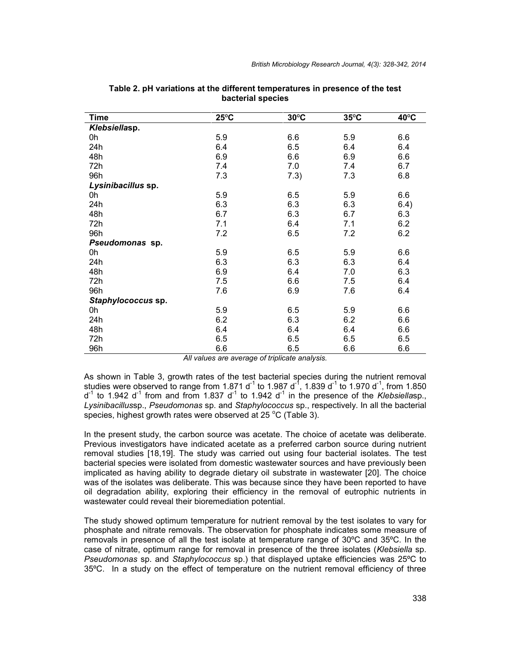| <b>Time</b>        | $25^{\circ}$ C | $30^{\circ}$ C | $35^{\circ}$ C | $40^{\circ}$ C |
|--------------------|----------------|----------------|----------------|----------------|
| Klebsiellasp.      |                |                |                |                |
| 0h                 | 5.9            | 6.6            | 5.9            | 6.6            |
| 24h                | 6.4            | 6.5            | 6.4            | 6.4            |
| 48h                | 6.9            | 6.6            | 6.9            | 6.6            |
| 72h                | 7.4            | 7.0            | 7.4            | 6.7            |
| 96h                | 7.3            | 7.3)           | 7.3            | 6.8            |
| Lysinibacillus sp. |                |                |                |                |
| 0h                 | 5.9            | 6.5            | 5.9            | 6.6            |
| 24h                | 6.3            | 6.3            | 6.3            | 6.4)           |
| 48h                | 6.7            | 6.3            | 6.7            | 6.3            |
| 72h                | 7.1            | 6.4            | 7.1            | 6.2            |
| 96h                | 7.2            | 6.5            | 7.2            | 6.2            |
| Pseudomonas sp.    |                |                |                |                |
| 0h                 | 5.9            | 6.5            | 5.9            | 6.6            |
| 24h                | 6.3            | 6.3            | 6.3            | 6.4            |
| 48h                | 6.9            | 6.4            | 7.0            | 6.3            |
| 72h                | 7.5            | 6.6            | 7.5            | 6.4            |
| 96h                | 7.6            | 6.9            | 7.6            | 6.4            |
| Staphylococcus sp. |                |                |                |                |
| 0h                 | 5.9            | 6.5            | 5.9            | 6.6            |
| 24h                | 6.2            | 6.3            | 6.2            | 6.6            |
| 48h                | 6.4            | 6.4            | 6.4            | 6.6            |
| 72h                | 6.5            | 6.5            | 6.5            | 6.5            |
| 96h                | 6.6            | 6.5            | 6.6            | 6.6            |

#### **Table 2. pH variations at the different temperatures in presence of the test bacterial species**

*All values are average of triplicate analysis.*

As shown in Table 3, growth rates of the test bacterial species during the nutrient removal studies were observed to range from 1.871 d<sup>-1</sup> to 1.987 d<sup>-1</sup>, 1.839 d<sup>-1</sup> to 1.970 d<sup>-1</sup>, from 1.850  $d^{-1}$  to 1.942  $d^{-1}$  from and from 1.837  $d^{-1}$  to 1.942  $d^{-1}$  in the presence of the *Klebsiellasp.*, *Lysinibacillus*sp., *Pseudomonas* sp. and *Staphylococcus* sp., respectively. In all the bacterial species, highest growth rates were observed at 25 °C (Table 3).

In the present study, the carbon source was acetate. The choice of acetate was deliberate. Previous investigators have indicated acetate as a preferred carbon source during nutrient removal studies [18,19]. The study was carried out using four bacterial isolates. The test bacterial species were isolated from domestic wastewater sources and have previously been implicated as having ability to degrade dietary oil substrate in wastewater [20]. The choice was of the isolates was deliberate. This was because since they have been reported to have oil degradation ability, exploring their efficiency in the removal of eutrophic nutrients in wastewater could reveal their bioremediation potential.

The study showed optimum temperature for nutrient removal by the test isolates to vary for phosphate and nitrate removals. The observation for phosphate indicates some measure of removals in presence of all the test isolate at temperature range of 30ºC and 35ºC. In the case of nitrate, optimum range for removal in presence of the three isolates (*Klebsiella* sp. *Pseudomonas* sp. and *Staphylococcus* sp.) that displayed uptake efficiencies was 25ºC to 35ºC. In a study on the effect of temperature on the nutrient removal efficiency of three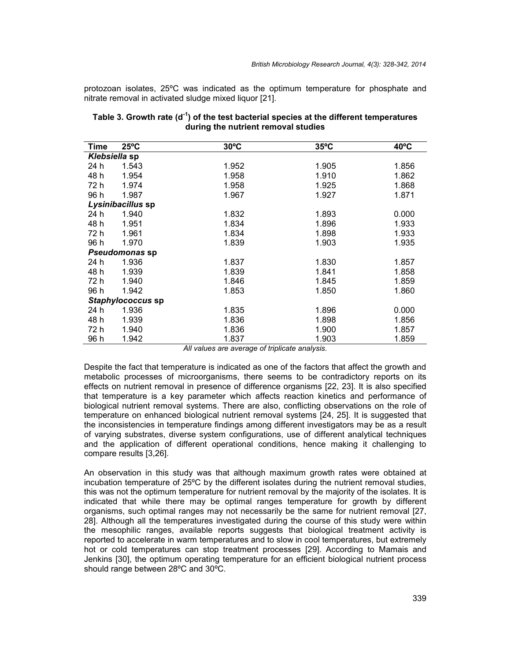protozoan isolates, 25ºC was indicated as the optimum temperature for phosphate and nitrate removal in activated sludge mixed liquor [21].

| Time          | $25^{\circ}$ C    | $30^{\circ}$ C | $35^{\circ}$ C | $40^{\circ}$ C |
|---------------|-------------------|----------------|----------------|----------------|
| Klebsiella sp |                   |                |                |                |
| 24 h          | 1.543             | 1.952          | 1.905          | 1.856          |
| 48 h          | 1.954             | 1.958          | 1.910          | 1.862          |
| 72 h          | 1.974             | 1.958          | 1.925          | 1.868          |
| 96 h          | 1.987             | 1.967          | 1.927          | 1.871          |
|               | Lysinibacillus sp |                |                |                |
| 24 h          | 1.940             | 1.832          | 1.893          | 0.000          |
| 48 h          | 1.951             | 1.834          | 1.896          | 1.933          |
| 72 h          | 1.961             | 1.834          | 1.898          | 1.933          |
| 96 h          | 1.970             | 1.839          | 1.903          | 1.935          |
|               | Pseudomonas sp    |                |                |                |
| 24 h          | 1.936             | 1.837          | 1.830          | 1.857          |
| 48 h          | 1.939             | 1.839          | 1.841          | 1.858          |
| 72 h          | 1.940             | 1.846          | 1.845          | 1.859          |
| 96 h          | 1.942             | 1.853          | 1.850          | 1.860          |
|               | Staphylococcus sp |                |                |                |
| 24 h          | 1.936             | 1.835          | 1.896          | 0.000          |
| 48 h          | 1.939             | 1.836          | 1.898          | 1.856          |
| 72 h          | 1.940             | 1.836          | 1.900          | 1.857          |
| 96 h          | 1.942             | 1.837          | 1.903          | 1.859          |

#### **Table 3. Growth rate (d-1 ) of the test bacterial species at the different temperatures during the nutrient removal studies**

*All values are average of triplicate analysis.*

Despite the fact that temperature is indicated as one of the factors that affect the growth and metabolic processes of microorganisms, there seems to be contradictory reports on its effects on nutrient removal in presence of difference organisms [22, 23]. It is also specified that temperature is a key parameter which affects reaction kinetics and performance of biological nutrient removal systems. There are also, conflicting observations on the role of temperature on enhanced biological nutrient removal systems [24, 25]. It is suggested that the inconsistencies in temperature findings among different investigators may be as a result of varying substrates, diverse system configurations, use of different analytical techniques and the application of different operational conditions, hence making it challenging to compare results [3,26].

An observation in this study was that although maximum growth rates were obtained at incubation temperature of 25ºC by the different isolates during the nutrient removal studies, this was not the optimum temperature for nutrient removal by the majority of the isolates. It is indicated that while there may be optimal ranges temperature for growth by different organisms, such optimal ranges may not necessarily be the same for nutrient removal [27, 28]. Although all the temperatures investigated during the course of this study were within the mesophilic ranges, available reports suggests that biological treatment activity is reported to accelerate in warm temperatures and to slow in cool temperatures, but extremely hot or cold temperatures can stop treatment processes [29]. According to Mamais and Jenkins [30], the optimum operating temperature for an efficient biological nutrient process should range between 28ºC and 30ºC.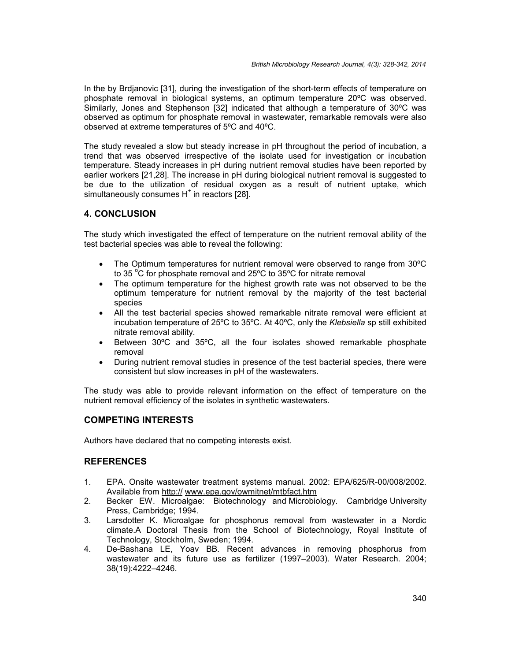In the by Brdjanovic [31], during the investigation of the short-term effects of temperature on phosphate removal in biological systems, an optimum temperature 20ºC was observed. Similarly, Jones and Stephenson [32] indicated that although a temperature of 30ºC was observed as optimum for phosphate removal in wastewater, remarkable removals were also observed at extreme temperatures of 5ºC and 40ºC.

The study revealed a slow but steady increase in pH throughout the period of incubation, a trend that was observed irrespective of the isolate used for investigation or incubation temperature. Steady increases in pH during nutrient removal studies have been reported by earlier workers [21,28]. The increase in pH during biological nutrient removal is suggested to be due to the utilization of residual oxygen as a result of nutrient uptake, which simultaneously consumes  $H^*$  in reactors [28].

# **4. CONCLUSION**

The study which investigated the effect of temperature on the nutrient removal ability of the test bacterial species was able to reveal the following:

- The Optimum temperatures for nutrient removal were observed to range from 30ºC to 35  $\degree$ C for phosphate removal and 25 $\degree$ C to 35 $\degree$ C for nitrate removal
- The optimum temperature for the highest growth rate was not observed to be the optimum temperature for nutrient removal by the majority of the test bacterial species
- All the test bacterial species showed remarkable nitrate removal were efficient at incubation temperature of 25ºC to 35ºC. At 40ºC, only the *Klebsiella* sp still exhibited nitrate removal ability.
- Between 30ºC and 35ºC, all the four isolates showed remarkable phosphate removal
- During nutrient removal studies in presence of the test bacterial species, there were consistent but slow increases in pH of the wastewaters.

The study was able to provide relevant information on the effect of temperature on the nutrient removal efficiency of the isolates in synthetic wastewaters.

# **COMPETING INTERESTS**

Authors have declared that no competing interests exist.

# **REFERENCES**

- 1. EPA. Onsite wastewater treatment systems manual. 2002: EPA/625/R-00/008/2002. Available from http:// www.epa.gov/owmitnet/mtbfact.htm
- 2. Becker EW. Microalgae: Biotechnology and Microbiology. Cambridge University Press, Cambridge; 1994.
- 3. Larsdotter K. Microalgae for phosphorus removal from wastewater in a Nordic climate.A Doctoral Thesis from the School of Biotechnology, Royal Institute of Technology, Stockholm, Sweden; 1994.
- 4. De-Bashana LE, Yoav BB. Recent advances in removing phosphorus from wastewater and its future use as fertilizer (1997–2003). Water Research. 2004; 38(19):4222–4246.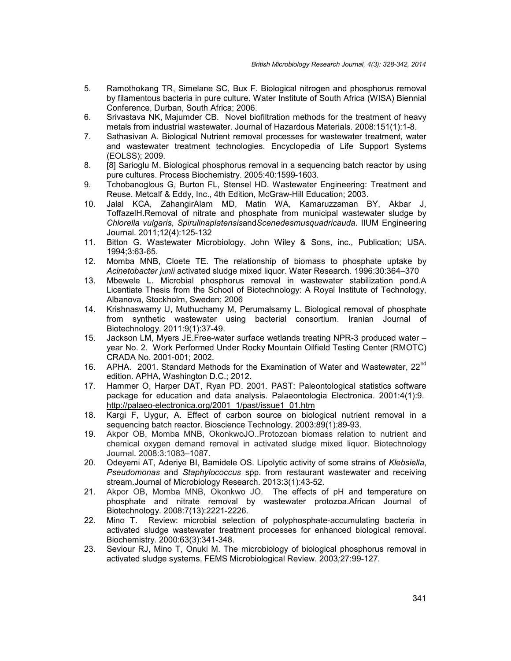- 5. Ramothokang TR, Simelane SC, Bux F. Biological nitrogen and phosphorus removal by filamentous bacteria in pure culture. Water Institute of South Africa (WISA) Biennial Conference, Durban, South Africa; 2006.
- 6. Srivastava NK, Majumder CB. Novel biofiltration methods for the treatment of heavy metals from industrial wastewater. Journal of Hazardous Materials. 2008:151(1):1-8.
- 7. Sathasivan A. Biological Nutrient removal processes for wastewater treatment, water and wastewater treatment technologies. Encyclopedia of Life Support Systems (EOLSS); 2009.
- 8. [8] Sarioglu M. Biological phosphorus removal in a sequencing batch reactor by using pure cultures. Process Biochemistry. 2005:40:1599-1603.
- 9. Tchobanoglous G, Burton FL, Stensel HD. Wastewater Engineering: Treatment and Reuse. Metcalf & Eddy, Inc., 4th Edition, McGraw-Hill Education; 2003.
- 10. Jalal KCA, ZahangirAlam MD, Matin WA, Kamaruzzaman BY, Akbar J, ToffazelH.Removal of nitrate and phosphate from municipal wastewater sludge by *Chlorella vulgaris*, *Spirulinaplatensis*and*Scenedesmusquadricauda.* IIUM Engineering Journal. 2011;12(4):125-132
- 11. Bitton G. Wastewater Microbiology. John Wiley & Sons, inc., Publication; USA. 1994;3:63-65.
- 12. Momba MNB, Cloete TE. The relationship of biomass to phosphate uptake by *Acinetobacter junii* activated sludge mixed liquor. Water Research. 1996:30:364–370
- 13. Mbewele L. Microbial phosphorus removal in wastewater stabilization pond.A Licentiate Thesis from the School of Biotechnology: A Royal Institute of Technology, Albanova, Stockholm, Sweden; 2006
- 14. Krishnaswamy U, Muthuchamy M, Perumalsamy L. Biological removal of phosphate from synthetic wastewater using bacterial consortium. Iranian Journal of Biotechnology. 2011:9(1):37-49.
- 15. Jackson LM, Myers JE.Free-water surface wetlands treating NPR-3 produced water year No. 2. Work Performed Under Rocky Mountain Oilfield Testing Center (RMOTC) CRADA No. 2001-001; 2002.
- 16. APHA. 2001. Standard Methods for the Examination of Water and Wastewater, 22<sup>nd</sup> edition. APHA, Washington D.C.; 2012.
- 17. Hammer O, Harper DAT, Ryan PD. 2001. PAST: Paleontological statistics software package for education and data analysis. Palaeontologia Electronica. 2001:4(1):9. http://palaeo-electronica.org/2001\_1/past/issue1\_01.htm
- 18. Kargi F, Uygur, A. Effect of carbon source on biological nutrient removal in a sequencing batch reactor. Bioscience Technology. 2003:89(1):89-93.
- 19. Akpor OB, Momba MNB, OkonkwoJO..Protozoan biomass relation to nutrient and chemical oxygen demand removal in activated sludge mixed liquor. Biotechnology Journal. 2008:3:1083–1087.
- 20. Odeyemi AT, Aderiye BI, Bamidele OS. Lipolytic activity of some strains of *Klebsiella*, *Pseudomonas* and *Staphylococcus* spp. from restaurant wastewater and receiving stream.Journal of Microbiology Research. 2013:3(1):43-52.
- 21. Akpor OB, Momba MNB, Okonkwo JO. The effects of pH and temperature on phosphate and nitrate removal by wastewater protozoa.African Journal of Biotechnology. 2008:7(13):2221-2226.
- 22. Mino T. Review: microbial selection of polyphosphate-accumulating bacteria in activated sludge wastewater treatment processes for enhanced biological removal. Biochemistry. 2000:63(3):341-348.
- 23. Seviour RJ, Mino T, Onuki M. The microbiology of biological phosphorus removal in activated sludge systems. FEMS Microbiological Review. 2003*;*27:99-127.